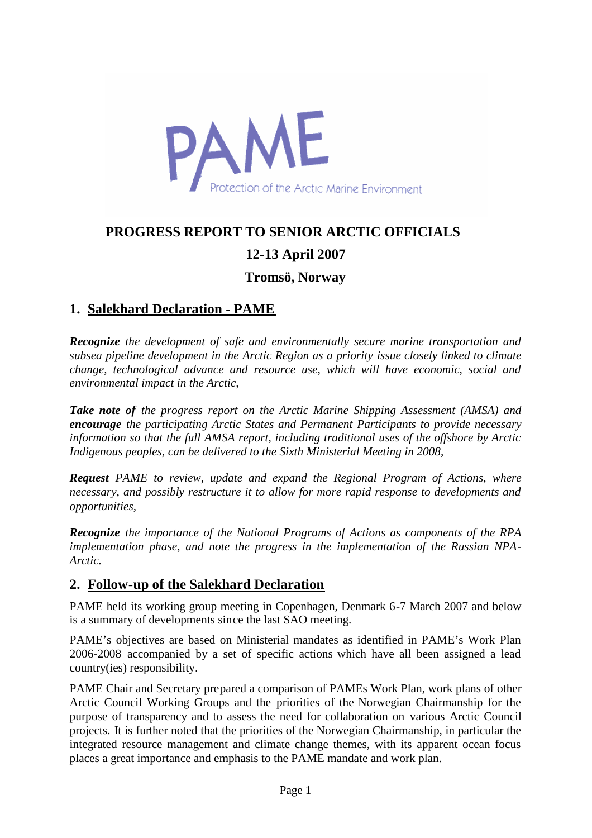

# **PROGRESS REPORT TO SENIOR ARCTIC OFFICIALS**

# **12-13 April 2007**

**Tromsö, Norway**

# **1. Salekhard Declaration - PAME**

*Recognize the development of safe and environmentally secure marine transportation and subsea pipeline development in the Arctic Region as a priority issue closely linked to climate change, technological advance and resource use, which will have economic, social and environmental impact in the Arctic,*

*Take note of the progress report on the Arctic Marine Shipping Assessment (AMSA) and encourage the participating Arctic States and Permanent Participants to provide necessary information so that the full AMSA report, including traditional uses of the offshore by Arctic Indigenous peoples, can be delivered to the Sixth Ministerial Meeting in 2008,*

*Request PAME to review, update and expand the Regional Program of Actions, where necessary, and possibly restructure it to allow for more rapid response to developments and opportunities,*

*Recognize the importance of the National Programs of Actions as components of the RPA implementation phase, and note the progress in the implementation of the Russian NPA-Arctic.*

### **2. Follow-up of the Salekhard Declaration**

PAME held its working group meeting in Copenhagen, Denmark 6-7 March 2007 and below is a summary of developments since the last SAO meeting.

PAME's objectives are based on Ministerial mandates as identified in PAME's Work Plan 2006-2008 accompanied by a set of specific actions which have all been assigned a lead country(ies) responsibility.

PAME Chair and Secretary prepared a comparison of PAMEs Work Plan, work plans of other Arctic Council Working Groups and the priorities of the Norwegian Chairmanship for the purpose of transparency and to assess the need for collaboration on various Arctic Council projects. It is further noted that the priorities of the Norwegian Chairmanship, in particular the integrated resource management and climate change themes, with its apparent ocean focus places a great importance and emphasis to the PAME mandate and work plan.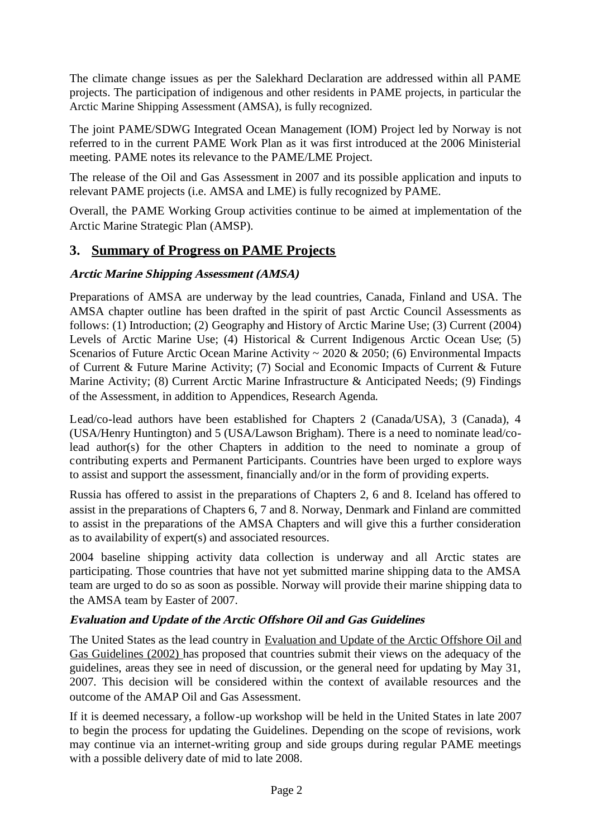The climate change issues as per the Salekhard Declaration are addressed within all PAME projects. The participation of indigenous and other residents in PAME projects, in particular the Arctic Marine Shipping Assessment (AMSA), is fully recognized.

The joint PAME/SDWG Integrated Ocean Management (IOM) Project led by Norway is not referred to in the current PAME Work Plan as it was first introduced at the 2006 Ministerial meeting. PAME notes its relevance to the PAME/LME Project.

The release of the Oil and Gas Assessment in 2007 and its possible application and inputs to relevant PAME projects (i.e. AMSA and LME) is fully recognized by PAME.

Overall, the PAME Working Group activities continue to be aimed at implementation of the Arctic Marine Strategic Plan (AMSP).

### **3. Summary of Progress on PAME Projects**

#### **Arctic Marine Shipping Assessment (AMSA)**

Preparations of AMSA are underway by the lead countries, Canada, Finland and USA. The AMSA chapter outline has been drafted in the spirit of past Arctic Council Assessments as follows: (1) Introduction; (2) Geography and History of Arctic Marine Use; (3) Current (2004) Levels of Arctic Marine Use; (4) Historical & Current Indigenous Arctic Ocean Use; (5) Scenarios of Future Arctic Ocean Marine Activity ~ 2020 & 2050; (6) Environmental Impacts of Current & Future Marine Activity; (7) Social and Economic Impacts of Current & Future Marine Activity; (8) Current Arctic Marine Infrastructure & Anticipated Needs; (9) Findings of the Assessment, in addition to Appendices, Research Agenda.

Lead/co-lead authors have been established for Chapters 2 (Canada/USA), 3 (Canada), 4 (USA/Henry Huntington) and 5 (USA/Lawson Brigham). There is a need to nominate lead/colead author(s) for the other Chapters in addition to the need to nominate a group of contributing experts and Permanent Participants. Countries have been urged to explore ways to assist and support the assessment, financially and/or in the form of providing experts.

Russia has offered to assist in the preparations of Chapters 2, 6 and 8. Iceland has offered to assist in the preparations of Chapters 6, 7 and 8. Norway, Denmark and Finland are committed to assist in the preparations of the AMSA Chapters and will give this a further consideration as to availability of expert(s) and associated resources.

2004 baseline shipping activity data collection is underway and all Arctic states are participating. Those countries that have not yet submitted marine shipping data to the AMSA team are urged to do so as soon as possible. Norway will provide their marine shipping data to the AMSA team by Easter of 2007.

### **Evaluation and Update of the Arctic Offshore Oil and Gas Guidelines**

The United States as the lead country in Evaluation and Update of the Arctic Offshore Oil and Gas Guidelines (2002) has proposed that countries submit their views on the adequacy of the guidelines, areas they see in need of discussion, or the general need for updating by May 31, 2007. This decision will be considered within the context of available resources and the outcome of the AMAP Oil and Gas Assessment.

If it is deemed necessary, a follow-up workshop will be held in the United States in late 2007 to begin the process for updating the Guidelines. Depending on the scope of revisions, work may continue via an internet-writing group and side groups during regular PAME meetings with a possible delivery date of mid to late 2008.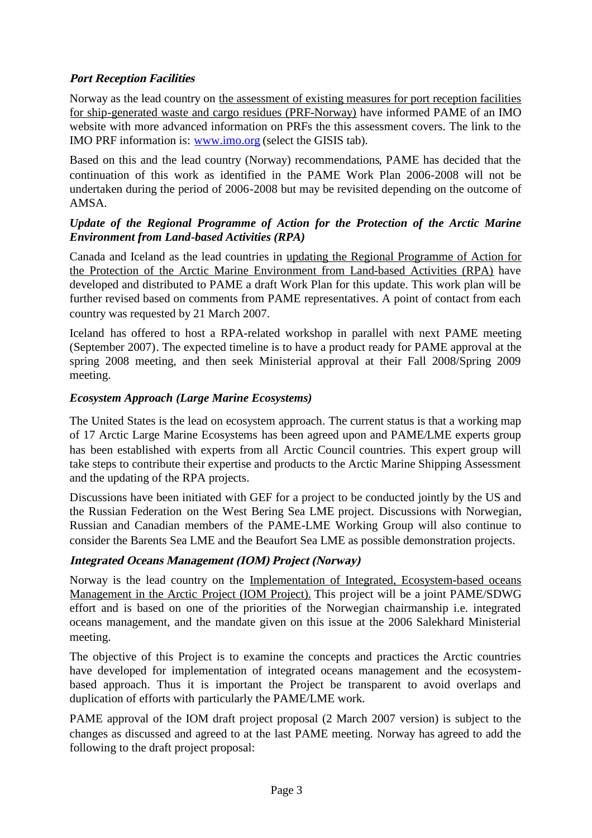### **Port Reception Facilities**

Norway as the lead country on the assessment of existing measures for port reception facilities for ship-generated waste and cargo residues (PRF-Norway) have informed PAME of an IMO website with more advanced information on PRFs the this assessment covers. The link to the IMO PRF information is: [www.imo.org](http://www.imo.org/) (select the GISIS tab).

Based on this and the lead country (Norway) recommendations, PAME has decided that the continuation of this work as identified in the PAME Work Plan 2006-2008 will not be undertaken during the period of 2006-2008 but may be revisited depending on the outcome of AMSA.

### *Update of the Regional Programme of Action for the Protection of the Arctic Marine Environment from Land-based Activities (RPA)*

Canada and Iceland as the lead countries in updating the Regional Programme of Action for the Protection of the Arctic Marine Environment from Land-based Activities (RPA) have developed and distributed to PAME a draft Work Plan for this update. This work plan will be further revised based on comments from PAME representatives. A point of contact from each country was requested by 21 March 2007.

Iceland has offered to host a RPA-related workshop in parallel with next PAME meeting (September 2007). The expected timeline is to have a product ready for PAME approval at the spring 2008 meeting, and then seek Ministerial approval at their Fall 2008/Spring 2009 meeting.

### *Ecosystem Approach (Large Marine Ecosystems)*

The United States is the lead on ecosystem approach. The current status is that a working map of 17 Arctic Large Marine Ecosystems has been agreed upon and PAME/LME experts group has been established with experts from all Arctic Council countries. This expert group will take steps to contribute their expertise and products to the Arctic Marine Shipping Assessment and the updating of the RPA projects.

Discussions have been initiated with GEF for a project to be conducted jointly by the US and the Russian Federation on the West Bering Sea LME project. Discussions with Norwegian, Russian and Canadian members of the PAME-LME Working Group will also continue to consider the Barents Sea LME and the Beaufort Sea LME as possible demonstration projects.

#### **Integrated Oceans Management (IOM) Project (Norway)**

Norway is the lead country on the Implementation of Integrated, Ecosystem-based oceans Management in the Arctic Project (IOM Project). This project will be a joint PAME/SDWG effort and is based on one of the priorities of the Norwegian chairmanship i.e. integrated oceans management, and the mandate given on this issue at the 2006 Salekhard Ministerial meeting.

The objective of this Project is to examine the concepts and practices the Arctic countries have developed for implementation of integrated oceans management and the ecosystembased approach. Thus it is important the Project be transparent to avoid overlaps and duplication of efforts with particularly the PAME/LME work.

PAME approval of the IOM draft project proposal (2 March 2007 version) is subject to the changes as discussed and agreed to at the last PAME meeting. Norway has agreed to add the following to the draft project proposal: